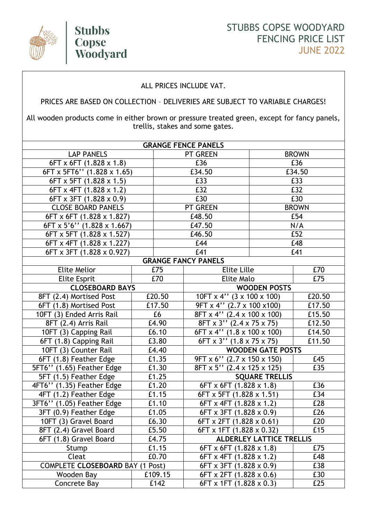

## ALL PRICES INCLUDE VAT.

## PRICES ARE BASED ON COLLECTION – DELIVERIES ARE SUBJECT TO VARIABLE CHARGES!

All wooden products come in either brown or pressure treated green, except for fancy panels, trellis, stakes and some gates.

| <b>PT GREEN</b><br><b>BROWN</b><br><b>LAP PANELS</b><br>£36<br>£36<br>$6FT \times 6FT$ (1.828 $\times$ 1.8)<br>6FT x 5FT6" (1.828 x 1.65)<br>£34.50<br>£34.50<br>£33<br>£33<br>6FT x 5FT (1.828 x 1.5)<br>£32<br>£32<br>$6FT \times 4FT$ (1.828 $\times$ 1.2)<br>£30<br>£30<br>6FT x 3FT (1.828 x 0.9)<br><b>CLOSE BOARD PANELS</b><br><b>PT GREEN</b><br><b>BROWN</b><br>£54<br>6FT x 6FT (1.828 x 1.827)<br>£48.50<br>£47.50<br>N/A<br>$6FT \times 5'6''$ (1.828 x 1.667)<br>£52<br>6FT x 5FT (1.828 x 1.527)<br>£46.50<br>£48<br>6FT x 4FT (1.828 x 1.227)<br>£44<br>£41<br>£41<br>6FT x 3FT (1.828 x 0.927)<br><b>GRANGE FANCY PANELS</b><br><b>Elite Lille</b><br>£70<br>Elite Melior<br>£75<br>£70<br>Elite Malo<br>£75<br><b>Elite Esprit</b><br><b>WOODEN POSTS</b><br><b>CLOSEBOARD BAYS</b><br>£20.50<br>£20.50<br>8FT (2.4) Mortised Post<br>$10FT \times 4$ " $(3 \times 100 \times 100)$<br>£17.50<br>9FT x 4" (2.7 x 100 x100)<br>£17.50<br>6FT (1.8) Mortised Post<br>£6<br>$8FT \times 4''$ (2.4 x 100 x 100)<br>£15.50<br>10FT (3) Ended Arris Rail<br>£4.90<br>$8FT \times 3''$ (2.4 x 75 x 75)<br>8FT (2.4) Arris Rail<br>£12.50<br>$\overline{6FT}$ x 4" (1.8 x 100 x 100)<br>£14.50<br>10FT (3) Capping Rail<br>£6.10<br>£3.80<br>$6FT \times 3''$ (1.8 x 75 x 75)<br>£11.50<br>6FT (1.8) Capping Rail<br><b>WOODEN GATE POSTS</b><br>10FT (3) Counter Rail<br>£4.40<br>9FT x 6" (2.7 x 150 x 150)<br>6FT (1.8) Feather Edge<br>£1.35<br>£45<br>£35<br>5FT6" (1.65) Feather Edge<br>£1.30<br>8FT x 5" (2.4 x 125 x 125)<br>£1.25<br>5FT (1.5) Feather Edge<br><b>SQUARE TRELLIS</b><br>£1.20<br>£36<br>4FT6" (1.35) Feather Edge<br>$6FT \times 6FT$ (1.828 $\times$ 1.8)<br>£1.15<br>6FT x 5FT (1.828 x 1.51)<br>4FT (1.2) Feather Edge<br>£34<br>3FT6" (1.05) Feather Edge<br>£1.10<br>6FT x 4FT (1.828 x 1.2)<br>£28<br>3FT (0.9) Feather Edge<br>£1.05<br>£26<br>6FT x 3FT (1.828 x 0.9)<br>£6.30<br>10FT (3) Gravel Board<br>$6FT \times 2FT$ (1.828 $\times$ 0.61)<br>£20<br>8FT (2.4) Gravel Board<br>£5.50<br>6FT x 1FT (1.828 x 0.32)<br>£15<br>6FT (1.8) Gravel Board<br>£4.75<br><b>ALDERLEY LATTICE TRELLIS</b><br>£1.15<br>$6FT \times 6FT$ (1.828 $\times$ 1.8)<br>E75<br>Stump<br>£0.70<br>Cleat<br>6FT x 4FT (1.828 x 1.2)<br>£48<br><b>COMPLETE CLOSEBOARD BAY (1 Post)</b><br>6FT x 3FT (1.828 x 0.9)<br>£38<br>£109.15<br>$6FT \times 2FT$ (1.828 $\times$ 0.6)<br>£30<br>Wooden Bay<br>£142<br>6FT x 1FT (1.828 x 0.3)<br>Concrete Bay<br>£25 | <b>GRANGE FENCE PANELS</b> |  |  |  |  |  |  |  |  |
|----------------------------------------------------------------------------------------------------------------------------------------------------------------------------------------------------------------------------------------------------------------------------------------------------------------------------------------------------------------------------------------------------------------------------------------------------------------------------------------------------------------------------------------------------------------------------------------------------------------------------------------------------------------------------------------------------------------------------------------------------------------------------------------------------------------------------------------------------------------------------------------------------------------------------------------------------------------------------------------------------------------------------------------------------------------------------------------------------------------------------------------------------------------------------------------------------------------------------------------------------------------------------------------------------------------------------------------------------------------------------------------------------------------------------------------------------------------------------------------------------------------------------------------------------------------------------------------------------------------------------------------------------------------------------------------------------------------------------------------------------------------------------------------------------------------------------------------------------------------------------------------------------------------------------------------------------------------------------------------------------------------------------------------------------------------------------------------------------------------------------------------------------------------------------------------------------------------------------------------------------------------------------------------------------------------------------------------------------------------------------------------------------------------------------------------------------------------------------------------|----------------------------|--|--|--|--|--|--|--|--|
|                                                                                                                                                                                                                                                                                                                                                                                                                                                                                                                                                                                                                                                                                                                                                                                                                                                                                                                                                                                                                                                                                                                                                                                                                                                                                                                                                                                                                                                                                                                                                                                                                                                                                                                                                                                                                                                                                                                                                                                                                                                                                                                                                                                                                                                                                                                                                                                                                                                                                        |                            |  |  |  |  |  |  |  |  |
|                                                                                                                                                                                                                                                                                                                                                                                                                                                                                                                                                                                                                                                                                                                                                                                                                                                                                                                                                                                                                                                                                                                                                                                                                                                                                                                                                                                                                                                                                                                                                                                                                                                                                                                                                                                                                                                                                                                                                                                                                                                                                                                                                                                                                                                                                                                                                                                                                                                                                        |                            |  |  |  |  |  |  |  |  |
|                                                                                                                                                                                                                                                                                                                                                                                                                                                                                                                                                                                                                                                                                                                                                                                                                                                                                                                                                                                                                                                                                                                                                                                                                                                                                                                                                                                                                                                                                                                                                                                                                                                                                                                                                                                                                                                                                                                                                                                                                                                                                                                                                                                                                                                                                                                                                                                                                                                                                        |                            |  |  |  |  |  |  |  |  |
|                                                                                                                                                                                                                                                                                                                                                                                                                                                                                                                                                                                                                                                                                                                                                                                                                                                                                                                                                                                                                                                                                                                                                                                                                                                                                                                                                                                                                                                                                                                                                                                                                                                                                                                                                                                                                                                                                                                                                                                                                                                                                                                                                                                                                                                                                                                                                                                                                                                                                        |                            |  |  |  |  |  |  |  |  |
|                                                                                                                                                                                                                                                                                                                                                                                                                                                                                                                                                                                                                                                                                                                                                                                                                                                                                                                                                                                                                                                                                                                                                                                                                                                                                                                                                                                                                                                                                                                                                                                                                                                                                                                                                                                                                                                                                                                                                                                                                                                                                                                                                                                                                                                                                                                                                                                                                                                                                        |                            |  |  |  |  |  |  |  |  |
|                                                                                                                                                                                                                                                                                                                                                                                                                                                                                                                                                                                                                                                                                                                                                                                                                                                                                                                                                                                                                                                                                                                                                                                                                                                                                                                                                                                                                                                                                                                                                                                                                                                                                                                                                                                                                                                                                                                                                                                                                                                                                                                                                                                                                                                                                                                                                                                                                                                                                        |                            |  |  |  |  |  |  |  |  |
|                                                                                                                                                                                                                                                                                                                                                                                                                                                                                                                                                                                                                                                                                                                                                                                                                                                                                                                                                                                                                                                                                                                                                                                                                                                                                                                                                                                                                                                                                                                                                                                                                                                                                                                                                                                                                                                                                                                                                                                                                                                                                                                                                                                                                                                                                                                                                                                                                                                                                        |                            |  |  |  |  |  |  |  |  |
|                                                                                                                                                                                                                                                                                                                                                                                                                                                                                                                                                                                                                                                                                                                                                                                                                                                                                                                                                                                                                                                                                                                                                                                                                                                                                                                                                                                                                                                                                                                                                                                                                                                                                                                                                                                                                                                                                                                                                                                                                                                                                                                                                                                                                                                                                                                                                                                                                                                                                        |                            |  |  |  |  |  |  |  |  |
|                                                                                                                                                                                                                                                                                                                                                                                                                                                                                                                                                                                                                                                                                                                                                                                                                                                                                                                                                                                                                                                                                                                                                                                                                                                                                                                                                                                                                                                                                                                                                                                                                                                                                                                                                                                                                                                                                                                                                                                                                                                                                                                                                                                                                                                                                                                                                                                                                                                                                        |                            |  |  |  |  |  |  |  |  |
|                                                                                                                                                                                                                                                                                                                                                                                                                                                                                                                                                                                                                                                                                                                                                                                                                                                                                                                                                                                                                                                                                                                                                                                                                                                                                                                                                                                                                                                                                                                                                                                                                                                                                                                                                                                                                                                                                                                                                                                                                                                                                                                                                                                                                                                                                                                                                                                                                                                                                        |                            |  |  |  |  |  |  |  |  |
|                                                                                                                                                                                                                                                                                                                                                                                                                                                                                                                                                                                                                                                                                                                                                                                                                                                                                                                                                                                                                                                                                                                                                                                                                                                                                                                                                                                                                                                                                                                                                                                                                                                                                                                                                                                                                                                                                                                                                                                                                                                                                                                                                                                                                                                                                                                                                                                                                                                                                        |                            |  |  |  |  |  |  |  |  |
|                                                                                                                                                                                                                                                                                                                                                                                                                                                                                                                                                                                                                                                                                                                                                                                                                                                                                                                                                                                                                                                                                                                                                                                                                                                                                                                                                                                                                                                                                                                                                                                                                                                                                                                                                                                                                                                                                                                                                                                                                                                                                                                                                                                                                                                                                                                                                                                                                                                                                        |                            |  |  |  |  |  |  |  |  |
|                                                                                                                                                                                                                                                                                                                                                                                                                                                                                                                                                                                                                                                                                                                                                                                                                                                                                                                                                                                                                                                                                                                                                                                                                                                                                                                                                                                                                                                                                                                                                                                                                                                                                                                                                                                                                                                                                                                                                                                                                                                                                                                                                                                                                                                                                                                                                                                                                                                                                        |                            |  |  |  |  |  |  |  |  |
|                                                                                                                                                                                                                                                                                                                                                                                                                                                                                                                                                                                                                                                                                                                                                                                                                                                                                                                                                                                                                                                                                                                                                                                                                                                                                                                                                                                                                                                                                                                                                                                                                                                                                                                                                                                                                                                                                                                                                                                                                                                                                                                                                                                                                                                                                                                                                                                                                                                                                        |                            |  |  |  |  |  |  |  |  |
|                                                                                                                                                                                                                                                                                                                                                                                                                                                                                                                                                                                                                                                                                                                                                                                                                                                                                                                                                                                                                                                                                                                                                                                                                                                                                                                                                                                                                                                                                                                                                                                                                                                                                                                                                                                                                                                                                                                                                                                                                                                                                                                                                                                                                                                                                                                                                                                                                                                                                        |                            |  |  |  |  |  |  |  |  |
|                                                                                                                                                                                                                                                                                                                                                                                                                                                                                                                                                                                                                                                                                                                                                                                                                                                                                                                                                                                                                                                                                                                                                                                                                                                                                                                                                                                                                                                                                                                                                                                                                                                                                                                                                                                                                                                                                                                                                                                                                                                                                                                                                                                                                                                                                                                                                                                                                                                                                        |                            |  |  |  |  |  |  |  |  |
|                                                                                                                                                                                                                                                                                                                                                                                                                                                                                                                                                                                                                                                                                                                                                                                                                                                                                                                                                                                                                                                                                                                                                                                                                                                                                                                                                                                                                                                                                                                                                                                                                                                                                                                                                                                                                                                                                                                                                                                                                                                                                                                                                                                                                                                                                                                                                                                                                                                                                        |                            |  |  |  |  |  |  |  |  |
|                                                                                                                                                                                                                                                                                                                                                                                                                                                                                                                                                                                                                                                                                                                                                                                                                                                                                                                                                                                                                                                                                                                                                                                                                                                                                                                                                                                                                                                                                                                                                                                                                                                                                                                                                                                                                                                                                                                                                                                                                                                                                                                                                                                                                                                                                                                                                                                                                                                                                        |                            |  |  |  |  |  |  |  |  |
|                                                                                                                                                                                                                                                                                                                                                                                                                                                                                                                                                                                                                                                                                                                                                                                                                                                                                                                                                                                                                                                                                                                                                                                                                                                                                                                                                                                                                                                                                                                                                                                                                                                                                                                                                                                                                                                                                                                                                                                                                                                                                                                                                                                                                                                                                                                                                                                                                                                                                        |                            |  |  |  |  |  |  |  |  |
|                                                                                                                                                                                                                                                                                                                                                                                                                                                                                                                                                                                                                                                                                                                                                                                                                                                                                                                                                                                                                                                                                                                                                                                                                                                                                                                                                                                                                                                                                                                                                                                                                                                                                                                                                                                                                                                                                                                                                                                                                                                                                                                                                                                                                                                                                                                                                                                                                                                                                        |                            |  |  |  |  |  |  |  |  |
|                                                                                                                                                                                                                                                                                                                                                                                                                                                                                                                                                                                                                                                                                                                                                                                                                                                                                                                                                                                                                                                                                                                                                                                                                                                                                                                                                                                                                                                                                                                                                                                                                                                                                                                                                                                                                                                                                                                                                                                                                                                                                                                                                                                                                                                                                                                                                                                                                                                                                        |                            |  |  |  |  |  |  |  |  |
|                                                                                                                                                                                                                                                                                                                                                                                                                                                                                                                                                                                                                                                                                                                                                                                                                                                                                                                                                                                                                                                                                                                                                                                                                                                                                                                                                                                                                                                                                                                                                                                                                                                                                                                                                                                                                                                                                                                                                                                                                                                                                                                                                                                                                                                                                                                                                                                                                                                                                        |                            |  |  |  |  |  |  |  |  |
|                                                                                                                                                                                                                                                                                                                                                                                                                                                                                                                                                                                                                                                                                                                                                                                                                                                                                                                                                                                                                                                                                                                                                                                                                                                                                                                                                                                                                                                                                                                                                                                                                                                                                                                                                                                                                                                                                                                                                                                                                                                                                                                                                                                                                                                                                                                                                                                                                                                                                        |                            |  |  |  |  |  |  |  |  |
|                                                                                                                                                                                                                                                                                                                                                                                                                                                                                                                                                                                                                                                                                                                                                                                                                                                                                                                                                                                                                                                                                                                                                                                                                                                                                                                                                                                                                                                                                                                                                                                                                                                                                                                                                                                                                                                                                                                                                                                                                                                                                                                                                                                                                                                                                                                                                                                                                                                                                        |                            |  |  |  |  |  |  |  |  |
|                                                                                                                                                                                                                                                                                                                                                                                                                                                                                                                                                                                                                                                                                                                                                                                                                                                                                                                                                                                                                                                                                                                                                                                                                                                                                                                                                                                                                                                                                                                                                                                                                                                                                                                                                                                                                                                                                                                                                                                                                                                                                                                                                                                                                                                                                                                                                                                                                                                                                        |                            |  |  |  |  |  |  |  |  |
|                                                                                                                                                                                                                                                                                                                                                                                                                                                                                                                                                                                                                                                                                                                                                                                                                                                                                                                                                                                                                                                                                                                                                                                                                                                                                                                                                                                                                                                                                                                                                                                                                                                                                                                                                                                                                                                                                                                                                                                                                                                                                                                                                                                                                                                                                                                                                                                                                                                                                        |                            |  |  |  |  |  |  |  |  |
|                                                                                                                                                                                                                                                                                                                                                                                                                                                                                                                                                                                                                                                                                                                                                                                                                                                                                                                                                                                                                                                                                                                                                                                                                                                                                                                                                                                                                                                                                                                                                                                                                                                                                                                                                                                                                                                                                                                                                                                                                                                                                                                                                                                                                                                                                                                                                                                                                                                                                        |                            |  |  |  |  |  |  |  |  |
|                                                                                                                                                                                                                                                                                                                                                                                                                                                                                                                                                                                                                                                                                                                                                                                                                                                                                                                                                                                                                                                                                                                                                                                                                                                                                                                                                                                                                                                                                                                                                                                                                                                                                                                                                                                                                                                                                                                                                                                                                                                                                                                                                                                                                                                                                                                                                                                                                                                                                        |                            |  |  |  |  |  |  |  |  |
|                                                                                                                                                                                                                                                                                                                                                                                                                                                                                                                                                                                                                                                                                                                                                                                                                                                                                                                                                                                                                                                                                                                                                                                                                                                                                                                                                                                                                                                                                                                                                                                                                                                                                                                                                                                                                                                                                                                                                                                                                                                                                                                                                                                                                                                                                                                                                                                                                                                                                        |                            |  |  |  |  |  |  |  |  |
|                                                                                                                                                                                                                                                                                                                                                                                                                                                                                                                                                                                                                                                                                                                                                                                                                                                                                                                                                                                                                                                                                                                                                                                                                                                                                                                                                                                                                                                                                                                                                                                                                                                                                                                                                                                                                                                                                                                                                                                                                                                                                                                                                                                                                                                                                                                                                                                                                                                                                        |                            |  |  |  |  |  |  |  |  |
|                                                                                                                                                                                                                                                                                                                                                                                                                                                                                                                                                                                                                                                                                                                                                                                                                                                                                                                                                                                                                                                                                                                                                                                                                                                                                                                                                                                                                                                                                                                                                                                                                                                                                                                                                                                                                                                                                                                                                                                                                                                                                                                                                                                                                                                                                                                                                                                                                                                                                        |                            |  |  |  |  |  |  |  |  |
|                                                                                                                                                                                                                                                                                                                                                                                                                                                                                                                                                                                                                                                                                                                                                                                                                                                                                                                                                                                                                                                                                                                                                                                                                                                                                                                                                                                                                                                                                                                                                                                                                                                                                                                                                                                                                                                                                                                                                                                                                                                                                                                                                                                                                                                                                                                                                                                                                                                                                        |                            |  |  |  |  |  |  |  |  |
|                                                                                                                                                                                                                                                                                                                                                                                                                                                                                                                                                                                                                                                                                                                                                                                                                                                                                                                                                                                                                                                                                                                                                                                                                                                                                                                                                                                                                                                                                                                                                                                                                                                                                                                                                                                                                                                                                                                                                                                                                                                                                                                                                                                                                                                                                                                                                                                                                                                                                        |                            |  |  |  |  |  |  |  |  |
|                                                                                                                                                                                                                                                                                                                                                                                                                                                                                                                                                                                                                                                                                                                                                                                                                                                                                                                                                                                                                                                                                                                                                                                                                                                                                                                                                                                                                                                                                                                                                                                                                                                                                                                                                                                                                                                                                                                                                                                                                                                                                                                                                                                                                                                                                                                                                                                                                                                                                        |                            |  |  |  |  |  |  |  |  |
|                                                                                                                                                                                                                                                                                                                                                                                                                                                                                                                                                                                                                                                                                                                                                                                                                                                                                                                                                                                                                                                                                                                                                                                                                                                                                                                                                                                                                                                                                                                                                                                                                                                                                                                                                                                                                                                                                                                                                                                                                                                                                                                                                                                                                                                                                                                                                                                                                                                                                        |                            |  |  |  |  |  |  |  |  |
|                                                                                                                                                                                                                                                                                                                                                                                                                                                                                                                                                                                                                                                                                                                                                                                                                                                                                                                                                                                                                                                                                                                                                                                                                                                                                                                                                                                                                                                                                                                                                                                                                                                                                                                                                                                                                                                                                                                                                                                                                                                                                                                                                                                                                                                                                                                                                                                                                                                                                        |                            |  |  |  |  |  |  |  |  |
|                                                                                                                                                                                                                                                                                                                                                                                                                                                                                                                                                                                                                                                                                                                                                                                                                                                                                                                                                                                                                                                                                                                                                                                                                                                                                                                                                                                                                                                                                                                                                                                                                                                                                                                                                                                                                                                                                                                                                                                                                                                                                                                                                                                                                                                                                                                                                                                                                                                                                        |                            |  |  |  |  |  |  |  |  |
|                                                                                                                                                                                                                                                                                                                                                                                                                                                                                                                                                                                                                                                                                                                                                                                                                                                                                                                                                                                                                                                                                                                                                                                                                                                                                                                                                                                                                                                                                                                                                                                                                                                                                                                                                                                                                                                                                                                                                                                                                                                                                                                                                                                                                                                                                                                                                                                                                                                                                        |                            |  |  |  |  |  |  |  |  |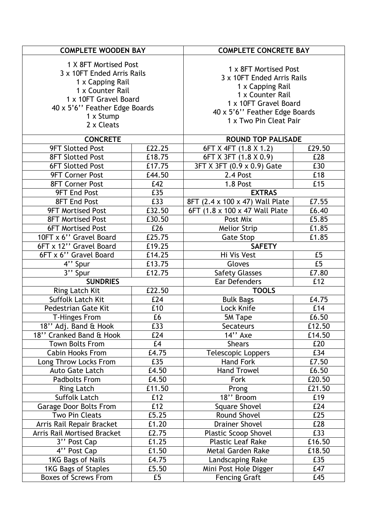| <b>COMPLETE WOODEN BAY</b>    |        | <b>COMPLETE CONCRETE BAY</b>    |        |  |
|-------------------------------|--------|---------------------------------|--------|--|
| 1 X 8FT Mortised Post         |        |                                 |        |  |
| 3 x 10FT Ended Arris Rails    |        | 1 x 8FT Mortised Post           |        |  |
| 1 x Capping Rail              |        | 3 x 10FT Ended Arris Rails      |        |  |
| 1 x Counter Rail              |        | 1 x Capping Rail                |        |  |
| 1 x 10FT Gravel Board         |        | 1 x Counter Rail                |        |  |
| 40 x 5'6" Feather Edge Boards |        | 1 x 10FT Gravel Board           |        |  |
| 1 x Stump                     |        | 40 x 5'6" Feather Edge Boards   |        |  |
| 2 x Cleats                    |        | 1 x Two Pin Cleat Pair          |        |  |
|                               |        |                                 |        |  |
| <b>CONCRETE</b>               |        | <b>ROUND TOP PALISADE</b>       |        |  |
| <b>9FT Slotted Post</b>       | £22.25 | 6FT X 4FT (1.8 X 1.2)           | £29.50 |  |
| <b>8FT Slotted Post</b>       | £18.75 | 6FT X 3FT (1.8 X 0.9)           | £28    |  |
| <b>6FT Slotted Post</b>       | £17.75 | 3FT X 3FT (0.9 x 0.9) Gate      | £30    |  |
| <b>9FT Corner Post</b>        | £44.50 | 2.4 Post                        | £18    |  |
| <b>8FT Corner Post</b>        | £42    | 1.8 Post                        | £15    |  |
| <b>9FT End Post</b>           | £35    | <b>EXTRAS</b>                   |        |  |
| <b>8FT End Post</b>           | E33    | 8FT (2.4 x 100 x 47) Wall Plate | £7.55  |  |
| <b>9FT Mortised Post</b>      | £32.50 | 6FT (1.8 x 100 x 47 Wall Plate) | £6.40  |  |
| <b>8FT Mortised Post</b>      | £30.50 | Post Mix                        | £5.85  |  |
| <b>6FT Mortised Post</b>      | £26    | <b>Melior Strip</b>             | £1.85  |  |
| 10FT x 6" Gravel Board        | £25.75 | <b>Gate Stop</b>                | £1.85  |  |
| 6FT x 12" Gravel Board        | £19.25 | <b>SAFETY</b>                   |        |  |
| 6FT x 6" Gravel Board         | £14.25 | Hi Vis Vest                     | £5     |  |
| $\overline{4}$ , Spur         | £13.75 | Gloves                          | E5     |  |
| $\overline{3''}$ Spur         | £12.75 | <b>Safety Glasses</b>           | £7.80  |  |
| <b>SUNDRIES</b>               |        |                                 | £12    |  |
| Ring Latch Kit                | £22.50 | <b>TOOLS</b>                    |        |  |
| <b>Suffolk Latch Kit</b>      | £24    | <b>Bulk Bags</b>                | £4.75  |  |
| <b>Pedestrian Gate Kit</b>    | £10    | Lock Knife                      | £14    |  |
| <b>T-Hinges From</b>          | £6     | 5M Tape                         | £6.50  |  |
| 18" Adj. Band & Hook          | £33    | Secateurs                       | £12.50 |  |
| 18" Cranked Band & Hook       | £24    | $14"$ Axe                       | £14.50 |  |
| <b>Town Bolts From</b>        | E4     | <b>Shears</b>                   | £20    |  |
| Cabin Hooks From              | £4.75  | <b>Telescopic Loppers</b>       | £34    |  |
| Long Throw Locks From         | £35    | Hand Fork                       | £7.50  |  |
| <b>Auto Gate Latch</b>        | £4.50  | <b>Hand Trowel</b>              | £6.50  |  |
| <b>Padbolts From</b>          | £4.50  | Fork                            | £20.50 |  |
| <b>Ring Latch</b>             | £11.50 | Prong                           | £21.50 |  |
| <b>Suffolk Latch</b>          | £12    | 18" Broom                       | £19    |  |
| Garage Door Bolts From        | £12    | <b>Square Shovel</b>            | £24    |  |
| <b>Two Pin Cleats</b>         | £5.25  | Round Shovel                    | £25    |  |
| Arris Rail Repair Bracket     | £1.20  | <b>Drainer Shovel</b>           | £28    |  |
| Arris Rail Mortised Bracket   | £2.75  | <b>Plastic Scoop Shovel</b>     | £33    |  |
| 3" Post Cap                   | £1.25  | <b>Plastic Leaf Rake</b>        | £16.50 |  |
| 4" Post Cap                   | £1.50  | <b>Metal Garden Rake</b>        | £18.50 |  |
| 1KG Bags of Nails             | £4.75  | Landscaping Rake                | £35    |  |
| 1KG Bags of Staples           | £5.50  | Mini Post Hole Digger           | £47    |  |
| <b>Boxes of Screws From</b>   | £5     | <b>Fencing Graft</b>            | £45    |  |